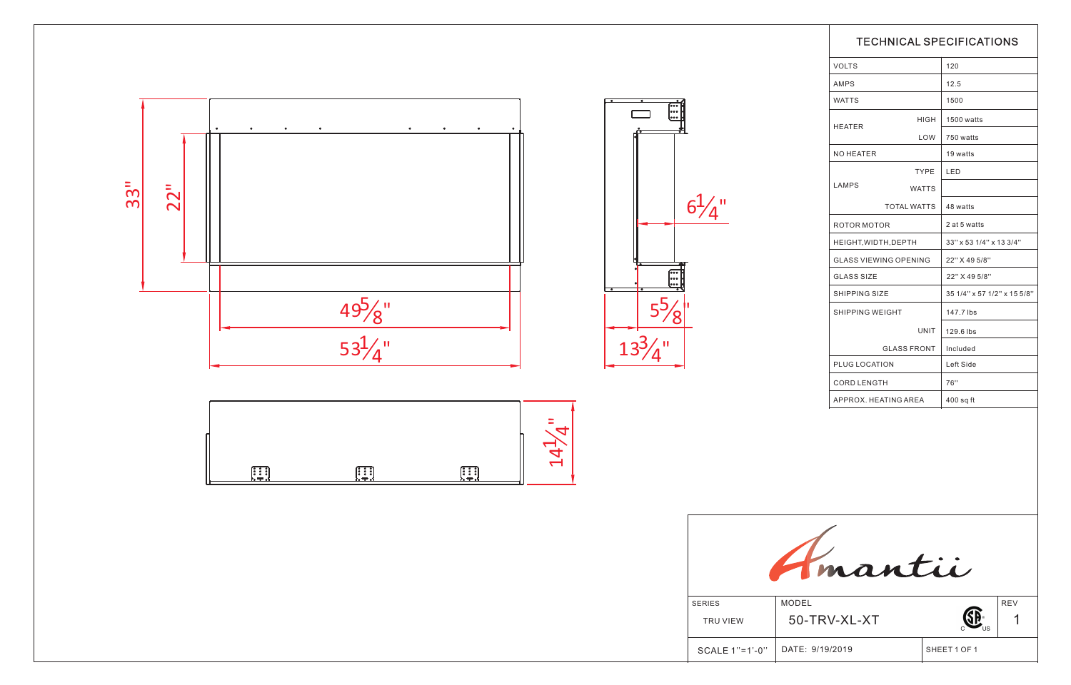|                | <b>TECHNICAL SPECIFICATIONS</b> |              |                             |  |
|----------------|---------------------------------|--------------|-----------------------------|--|
|                | <b>VOLTS</b>                    |              | 120                         |  |
|                | AMPS                            |              | 12.5                        |  |
|                | <b>WATTS</b>                    |              | 1500                        |  |
|                | <b>HEATER</b>                   | HIGH         | 1500 watts                  |  |
|                |                                 | LOW          | 750 watts                   |  |
|                | NO HEATER                       |              | 19 watts                    |  |
|                |                                 | TYPE         | <b>LED</b>                  |  |
|                | LAMPS                           | <b>WATTS</b> |                             |  |
|                | <b>TOTAL WATTS</b>              |              | 48 watts                    |  |
|                | ROTOR MOTOR                     |              | 2 at 5 watts                |  |
|                | HEIGHT, WIDTH, DEPTH            |              | 33" x 53 1/4" x 13 3/4"     |  |
|                | <b>GLASS VIEWING OPENING</b>    |              | 22" X 49 5/8"               |  |
|                | <b>GLASS SIZE</b>               |              | 22" X 49 5/8"               |  |
|                | SHIPPING SIZE                   |              | 35 1/4" x 57 1/2" x 15 5/8" |  |
| ľ              | SHIPPING WEIGHT                 |              | 147.7 lbs                   |  |
|                |                                 | UNIT         | 129.6 lbs                   |  |
|                | <b>GLASS FRONT</b>              |              | Included                    |  |
|                | PLUG LOCATION                   |              | Left Side                   |  |
|                | <b>CORD LENGTH</b>              |              | 76"                         |  |
|                | APPROX. HEATING AREA            |              | $400$ sq ft                 |  |
|                |                                 |              |                             |  |
| mantii         |                                 |              |                             |  |
| <b>SERIES</b>  | <b>MODEL</b>                    |              | <b>REV</b>                  |  |
| TRU VIEW       | 50-TRV-XL-XT                    |              |                             |  |
| SCALE 1"=1'-0" | DATE: 9/19/2019                 |              | SHEET 1 OF 1                |  |